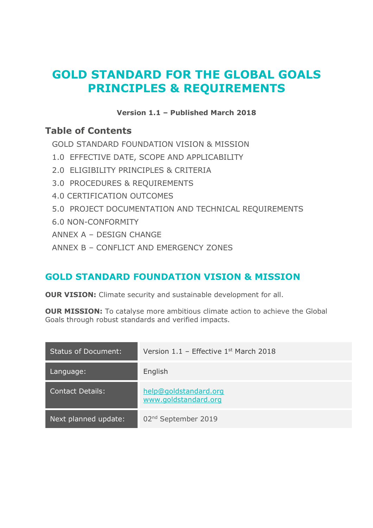# **GOLD STANDARD FOR THE GLOBAL GOALS PRINCIPLES & REQUIREMENTS**

### **Version 1.1 – Published March 2018**

## **Table of Contents**

[GOLD STANDARD FOUNDATION VISION & MISSION](#page-0-0)

- 1.0 [EFFECTIVE DATE, SCOPE AND APPLICABILITY](#page-1-0)
- 2.0 [ELIGIBILITY PRINCIPLES & CRITERIA](#page-2-0)
- 3.0 [PROCEDURES & REQUIREMENTS](#page-5-0)
- [4.0 CERTIFICATION OUTCOMES](#page-25-0)
- 5.0 [PROJECT DOCUMENTATION AND TECHNICAL REQUIREMENTS](#page-26-0)
- [6.0 NON-CONFORMITY](#page-28-0)
- ANNEX A [DESIGN CHANGE](#page-29-0)
- ANNEX B [CONFLICT AND EMERGENCY ZONES](#page-33-0)

## <span id="page-0-0"></span>**GOLD STANDARD FOUNDATION VISION & MISSION**

**OUR VISION:** Climate security and sustainable development for all.

**OUR MISSION:** To catalyse more ambitious climate action to achieve the Global Goals through robust standards and verified impacts.

| <b>Status of Document:</b> | Version $1.1$ – Effective $1st$ March 2018    |
|----------------------------|-----------------------------------------------|
| Language:                  | English                                       |
| <b>Contact Details:</b>    | help@goldstandard.org<br>www.goldstandard.org |
| Next planned update:       | 02 <sup>nd</sup> September 2019               |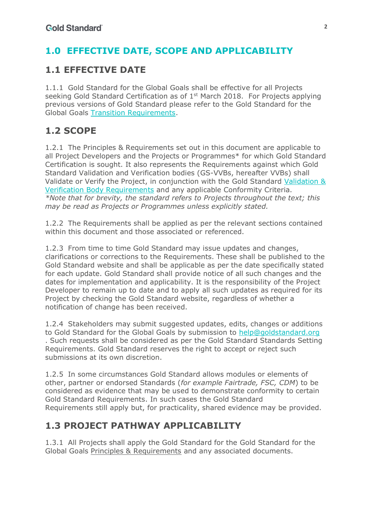# <span id="page-1-0"></span>**1.0 EFFECTIVE DATE, SCOPE AND APPLICABILITY**

## **1.1 EFFECTIVE DATE**

1.1.1 Gold Standard for the Global Goals shall be effective for all Projects seeking Gold Standard Certification as of  $1<sup>st</sup>$  March 2018. For Projects applying previous versions of Gold Standard please refer to the Gold Standard for the Global Goals Transition Requirements.

# **1.2 SCOPE**

1.2.1 The Principles & Requirements set out in this document are applicable to all Project Developers and the Projects or Programmes\* for which Gold Standard Certification is sought. It also represents the Requirements against which Gold Standard Validation and Verification bodies (GS-VVBs, hereafter VVBs) shall Validate or Verify the Project, in conjunction with the Gold Standard Validation & Verification Body Requirements and any applicable Conformity Criteria. *\*Note that for brevity, the standard refers to Projects throughout the text; this may be read as Projects or Programmes unless explicitly stated.*

1.2.2 The Requirements shall be applied as per the relevant sections contained within this document and those associated or referenced.

1.2.3 From time to time Gold Standard may issue updates and changes, clarifications or corrections to the Requirements. These shall be published to the Gold Standard website and shall be applicable as per the date specifically stated for each update. Gold Standard shall provide notice of all such changes and the dates for implementation and applicability. It is the responsibility of the Project Developer to remain up to date and to apply all such updates as required for its Project by checking the Gold Standard website, regardless of whether a notification of change has been received.

1.2.4 Stakeholders may submit suggested updates, edits, changes or additions to Gold Standard for the Global Goals by submission to help@goldstandard.org . Such requests shall be considered as per the Gold Standard Standards Setting Requirements. Gold Standard reserves the right to accept or reject such submissions at its own discretion.

1.2.5 In some circumstances Gold Standard allows modules or elements of other, partner or endorsed Standards (*for example Fairtrade, FSC, CDM*) to be considered as evidence that may be used to demonstrate conformity to certain Gold Standard Requirements. In such cases the Gold Standard Requirements still apply but, for practicality, shared evidence may be provided.

## **1.3 PROJECT PATHWAY APPLICABILITY**

1.3.1 All Projects shall apply the Gold Standard for the Gold Standard for the Global Goals Principles & Requirements and any associated documents.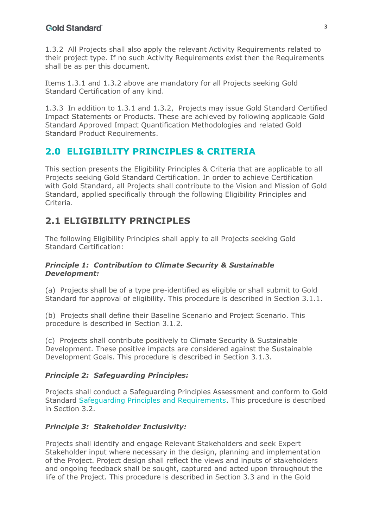1.3.2 All Projects shall also apply the relevant Activity Requirements related to their project type. If no such Activity Requirements exist then the Requirements shall be as per this document.

Items 1.3.1 and 1.3.2 above are mandatory for all Projects seeking Gold Standard Certification of any kind.

1.3.3 In addition to 1.3.1 and 1.3.2, Projects may issue Gold Standard Certified Impact Statements or Products. These are achieved by following applicable Gold Standard Approved Impact Quantification Methodologies and related Gold Standard Product Requirements.

## <span id="page-2-0"></span>**2.0 ELIGIBILITY PRINCIPLES & CRITERIA**

This section presents the Eligibility Principles & Criteria that are applicable to all Projects seeking Gold Standard Certification. In order to achieve Certification with Gold Standard, all Projects shall contribute to the Vision and Mission of Gold Standard, applied specifically through the following Eligibility Principles and Criteria.

# **2.1 ELIGIBILITY PRINCIPLES**

The following Eligibility Principles shall apply to all Projects seeking Gold Standard Certification:

#### *Principle 1: Contribution to Climate Security & Sustainable Development:*

(a) Projects shall be of a type pre-identified as eligible or shall submit to Gold Standard for approval of eligibility. This procedure is described in Section 3.1.1.

(b) Projects shall define their Baseline Scenario and Project Scenario. This procedure is described in Section 3.1.2.

(c) Projects shall contribute positively to Climate Security & Sustainable Development. These positive impacts are considered against the Sustainable Development Goals. This procedure is described in Section 3.1.3.

#### *Principle 2: Safeguarding Principles:*

Projects shall conduct a Safeguarding Principles Assessment and conform to Gold Standard Safeguarding Principles and Requirements. This procedure is described in Section 3.2.

#### *Principle 3: Stakeholder Inclusivity:*

Projects shall identify and engage Relevant Stakeholders and seek Expert Stakeholder input where necessary in the design, planning and implementation of the Project. Project design shall reflect the views and inputs of stakeholders and ongoing feedback shall be sought, captured and acted upon throughout the life of the Project. This procedure is described in Section 3.3 and in the Gold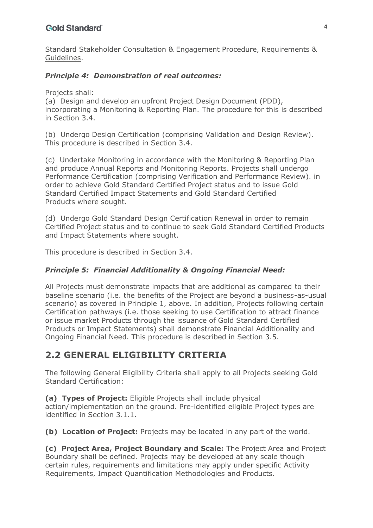Standard Stakeholder Consultation & Engagement Procedure, Requirements & Guidelines.

#### *Principle 4: Demonstration of real outcomes:*

Projects shall:

(a) Design and develop an upfront Project Design Document (PDD), incorporating a Monitoring & Reporting Plan. The procedure for this is described in Section 3.4.

(b) Undergo Design Certification (comprising Validation and Design Review). This procedure is described in Section 3.4.

(c) Undertake Monitoring in accordance with the Monitoring & Reporting Plan and produce Annual Reports and Monitoring Reports. Projects shall undergo Performance Certification (comprising Verification and Performance Review). in order to achieve Gold Standard Certified Project status and to issue Gold Standard Certified Impact Statements and Gold Standard Certified Products where sought.

(d) Undergo Gold Standard Design Certification Renewal in order to remain Certified Project status and to continue to seek Gold Standard Certified Products and Impact Statements where sought.

This procedure is described in Section 3.4.

#### *Principle 5: Financial Additionality & Ongoing Financial Need:*

All Projects must demonstrate impacts that are additional as compared to their baseline scenario (i.e. the benefits of the Project are beyond a business-as-usual scenario) as covered in Principle 1, above. In addition, Projects following certain Certification pathways (i.e. those seeking to use Certification to attract finance or issue market Products through the issuance of Gold Standard Certified Products or Impact Statements) shall demonstrate Financial Additionality and Ongoing Financial Need. This procedure is described in Section 3.5.

## **2.2 GENERAL ELIGIBILITY CRITERIA**

The following General Eligibility Criteria shall apply to all Projects seeking Gold Standard Certification:

**(a) Types of Project:** Eligible Projects shall include physical

action/implementation on the ground. Pre-identified eligible Project types are identified in Section 3.1.1.

**(b) Location of Project:** Projects may be located in any part of the world.

**(c) Project Area, Project Boundary and Scale:** The Project Area and Project Boundary shall be defined. Projects may be developed at any scale though certain rules, requirements and limitations may apply under specific Activity Requirements, Impact Quantification Methodologies and Products.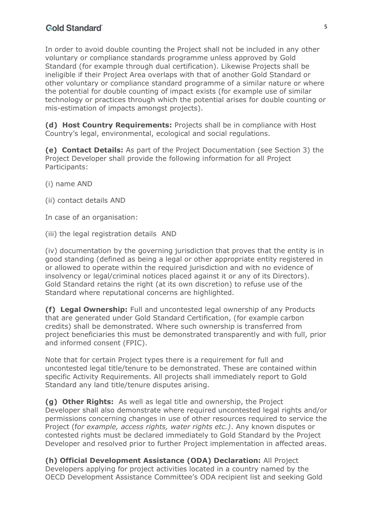In order to avoid double counting the Project shall not be included in any other voluntary or compliance standards programme unless approved by Gold Standard (for example through dual certification). Likewise Projects shall be ineligible if their Project Area overlaps with that of another Gold Standard or other voluntary or compliance standard programme of a similar nature or where the potential for double counting of impact exists (for example use of similar technology or practices through which the potential arises for double counting or mis-estimation of impacts amongst projects).

**(d) Host Country Requirements:** Projects shall be in compliance with Host Country's legal, environmental, ecological and social regulations.

**(e) Contact Details:** As part of the Project Documentation (see Section 3) the Project Developer shall provide the following information for all Project Participants:

(i) name AND

(ii) contact details AND

In case of an organisation:

(iii) the legal registration details AND

(iv) documentation by the governing jurisdiction that proves that the entity is in good standing (defined as being a legal or other appropriate entity registered in or allowed to operate within the required jurisdiction and with no evidence of insolvency or legal/criminal notices placed against it or any of its Directors). Gold Standard retains the right (at its own discretion) to refuse use of the Standard where reputational concerns are highlighted.

**(f) Legal Ownership:** Full and uncontested legal ownership of any Products that are generated under Gold Standard Certification, (for example carbon credits) shall be demonstrated. Where such ownership is transferred from project beneficiaries this must be demonstrated transparently and with full, prior and informed consent (FPIC).

Note that for certain Project types there is a requirement for full and uncontested legal title/tenure to be demonstrated. These are contained within specific Activity Requirements. All projects shall immediately report to Gold Standard any land title/tenure disputes arising.

**(g) Other Rights:** As well as legal title and ownership, the Project Developer shall also demonstrate where required uncontested legal rights and/or permissions concerning changes in use of other resources required to service the Project (f*or example, access rights, water rights etc.)*. Any known disputes or contested rights must be declared immediately to Gold Standard by the Project Developer and resolved prior to further Project implementation in affected areas.

**(h) Official Development Assistance (ODA) Declaration:** All Project Developers applying for project activities located in a country named by the OECD Development Assistance Committee's ODA recipient list and seeking Gold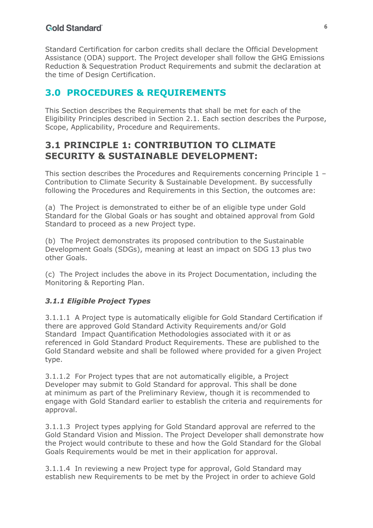Standard Certification for carbon credits shall declare the Official Development Assistance (ODA) support. The Project developer shall follow the GHG Emissions Reduction & Sequestration Product Requirements and submit the declaration at the time of Design Certification.

## <span id="page-5-0"></span>**3.0 PROCEDURES & REQUIREMENTS**

This Section describes the Requirements that shall be met for each of the Eligibility Principles described in Section 2.1. Each section describes the Purpose, Scope, Applicability, Procedure and Requirements.

## **3.1 PRINCIPLE 1: CONTRIBUTION TO CLIMATE SECURITY & SUSTAINABLE DEVELOPMENT:**

This section describes the Procedures and Requirements concerning Principle 1 – Contribution to Climate Security & Sustainable Development. By successfully following the Procedures and Requirements in this Section, the outcomes are:

(a) The Project is demonstrated to either be of an eligible type under Gold Standard for the Global Goals or has sought and obtained approval from Gold Standard to proceed as a new Project type.

(b) The Project demonstrates its proposed contribution to the Sustainable Development Goals (SDGs), meaning at least an impact on SDG 13 plus two other Goals.

(c) The Project includes the above in its Project Documentation, including the Monitoring & Reporting Plan.

#### *3.1.1 Eligible Project Types*

3.1.1.1 A Project type is automatically eligible for Gold Standard Certification if there are approved Gold Standard Activity Requirements and/or Gold Standard Impact Quantification Methodologies associated with it or as referenced in Gold Standard Product Requirements. These are published to the Gold Standard website and shall be followed where provided for a given Project type.

3.1.1.2 For Project types that are not automatically eligible, a Project Developer may submit to Gold Standard for approval. This shall be done at minimum as part of the Preliminary Review, though it is recommended to engage with Gold Standard earlier to establish the criteria and requirements for approval.

3.1.1.3 Project types applying for Gold Standard approval are referred to the Gold Standard Vision and Mission. The Project Developer shall demonstrate how the Project would contribute to these and how the Gold Standard for the Global Goals Requirements would be met in their application for approval.

3.1.1.4 In reviewing a new Project type for approval, Gold Standard may establish new Requirements to be met by the Project in order to achieve Gold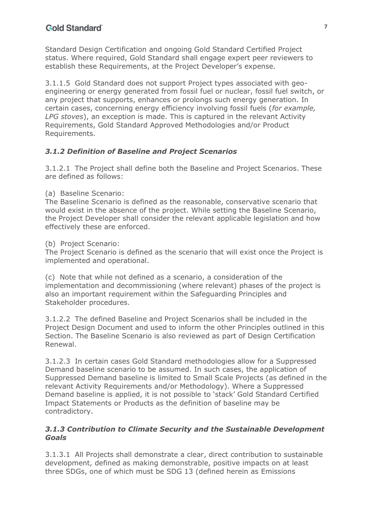Standard Design Certification and ongoing Gold Standard Certified Project status. Where required, Gold Standard shall engage expert peer reviewers to establish these Requirements, at the Project Developer's expense.

3.1.1.5 Gold Standard does not support Project types associated with geoengineering or energy generated from fossil fuel or nuclear, fossil fuel switch, or any project that supports, enhances or prolongs such energy generation. In certain cases, concerning energy efficiency involving fossil fuels (*for example, LPG stoves*), an exception is made. This is captured in the relevant Activity Requirements, Gold Standard Approved Methodologies and/or Product Requirements.

### *3.1.2 Definition of Baseline and Project Scenarios*

3.1.2.1 The Project shall define both the Baseline and Project Scenarios. These are defined as follows:

(a) Baseline Scenario:

The Baseline Scenario is defined as the reasonable, conservative scenario that would exist in the absence of the project. While setting the Baseline Scenario, the Project Developer shall consider the relevant applicable legislation and how effectively these are enforced.

(b) Project Scenario:

The Project Scenario is defined as the scenario that will exist once the Project is implemented and operational.

(c) Note that while not defined as a scenario, a consideration of the implementation and decommissioning (where relevant) phases of the project is also an important requirement within the Safeguarding Principles and Stakeholder procedures.

3.1.2.2 The defined Baseline and Project Scenarios shall be included in the Project Design Document and used to inform the other Principles outlined in this Section. The Baseline Scenario is also reviewed as part of Design Certification Renewal.

3.1.2.3 In certain cases Gold Standard methodologies allow for a Suppressed Demand baseline scenario to be assumed. In such cases, the application of Suppressed Demand baseline is limited to Small Scale Projects (as defined in the relevant Activity Requirements and/or Methodology). Where a Suppressed Demand baseline is applied, it is not possible to 'stack' Gold Standard Certified Impact Statements or Products as the definition of baseline may be contradictory.

#### *3.1.3 Contribution to Climate Security and the Sustainable Development Goals*

3.1.3.1 All Projects shall demonstrate a clear, direct contribution to sustainable development, defined as making demonstrable, positive impacts on at least three SDGs, one of which must be SDG 13 (defined herein as Emissions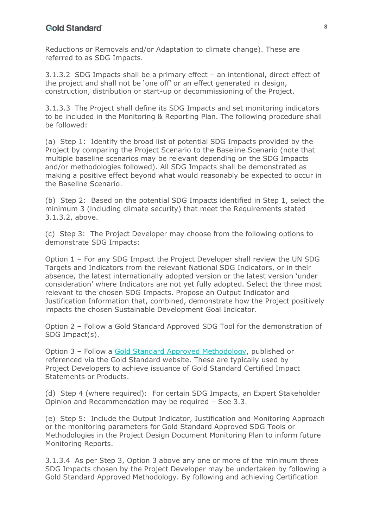Reductions or Removals and/or Adaptation to climate change). These are referred to as SDG Impacts.

3.1.3.2 SDG Impacts shall be a primary effect – an intentional, direct effect of the project and shall not be 'one off' or an effect generated in design, construction, distribution or start-up or decommissioning of the Project.

3.1.3.3 The Project shall define its SDG Impacts and set monitoring indicators to be included in the Monitoring & Reporting Plan. The following procedure shall be followed:

(a) Step 1: Identify the broad list of potential SDG Impacts provided by the Project by comparing the Project Scenario to the Baseline Scenario (note that multiple baseline scenarios may be relevant depending on the SDG Impacts and/or methodologies followed). All SDG Impacts shall be demonstrated as making a positive effect beyond what would reasonably be expected to occur in the Baseline Scenario.

(b) Step 2: Based on the potential SDG Impacts identified in Step 1, select the minimum 3 (including climate security) that meet the Requirements stated 3.1.3.2, above.

(c) Step 3: The Project Developer may choose from the following options to demonstrate SDG Impacts:

Option 1 – For any SDG Impact the Project Developer shall review the UN SDG Targets and Indicators from the relevant National SDG Indicators, or in their absence, the latest internationally adopted version or the latest version 'under consideration' where Indicators are not yet fully adopted. Select the three most relevant to the chosen SDG Impacts. Propose an Output Indicator and Justification Information that, combined, demonstrate how the Project positively impacts the chosen Sustainable Development Goal Indicator.

Option 2 – Follow a Gold Standard Approved SDG Tool for the demonstration of SDG Impact(s).

Option 3 – Follow a Gold Standard Approved Methodology, published or referenced via the Gold Standard website. These are typically used by Project Developers to achieve issuance of Gold Standard Certified Impact Statements or Products.

(d) Step 4 (where required): For certain SDG Impacts, an Expert Stakeholder Opinion and Recommendation may be required – See 3.3.

(e) Step 5: Include the Output Indicator, Justification and Monitoring Approach or the monitoring parameters for Gold Standard Approved SDG Tools or Methodologies in the Project Design Document Monitoring Plan to inform future Monitoring Reports.

3.1.3.4 As per Step 3, Option 3 above any one or more of the minimum three SDG Impacts chosen by the Project Developer may be undertaken by following a Gold Standard Approved Methodology. By following and achieving Certification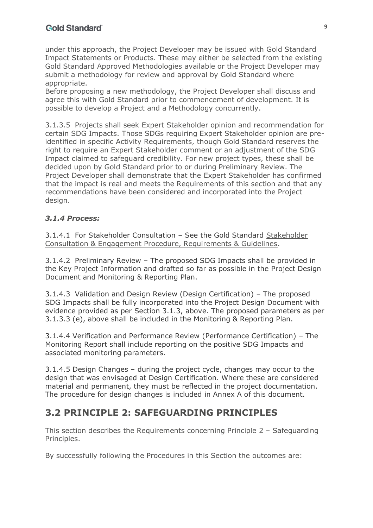under this approach, the Project Developer may be issued with Gold Standard Impact Statements or Products. These may either be selected from the existing Gold Standard Approved Methodologies available or the Project Developer may submit a methodology for review and approval by Gold Standard where appropriate.

Before proposing a new methodology, the Project Developer shall discuss and agree this with Gold Standard prior to commencement of development. It is possible to develop a Project and a Methodology concurrently.

3.1.3.5 Projects shall seek Expert Stakeholder opinion and recommendation for certain SDG Impacts. Those SDGs requiring Expert Stakeholder opinion are preidentified in specific Activity Requirements, though Gold Standard reserves the right to require an Expert Stakeholder comment or an adjustment of the SDG Impact claimed to safeguard credibility. For new project types, these shall be decided upon by Gold Standard prior to or during Preliminary Review. The Project Developer shall demonstrate that the Expert Stakeholder has confirmed that the impact is real and meets the Requirements of this section and that any recommendations have been considered and incorporated into the Project design.

#### *3.1.4 Process:*

3.1.4.1 For Stakeholder Consultation – See the Gold Standard Stakeholder Consultation & Engagement Procedure, Requirements & Guidelines.

3.1.4.2 Preliminary Review – The proposed SDG Impacts shall be provided in the Key Project Information and drafted so far as possible in the Project Design Document and Monitoring & Reporting Plan.

3.1.4.3 Validation and Design Review (Design Certification) – The proposed SDG Impacts shall be fully incorporated into the Project Design Document with evidence provided as per Section 3.1.3, above. The proposed parameters as per 3.1.3.3 (e), above shall be included in the Monitoring & Reporting Plan.

3.1.4.4 Verification and Performance Review (Performance Certification) – The Monitoring Report shall include reporting on the positive SDG Impacts and associated monitoring parameters.

3.1.4.5 Design Changes – during the project cycle, changes may occur to the design that was envisaged at Design Certification. Where these are considered material and permanent, they must be reflected in the project documentation. The procedure for design changes is included in Annex A of this document.

## **3.2 PRINCIPLE 2: SAFEGUARDING PRINCIPLES**

This section describes the Requirements concerning Principle 2 – Safeguarding Principles.

By successfully following the Procedures in this Section the outcomes are: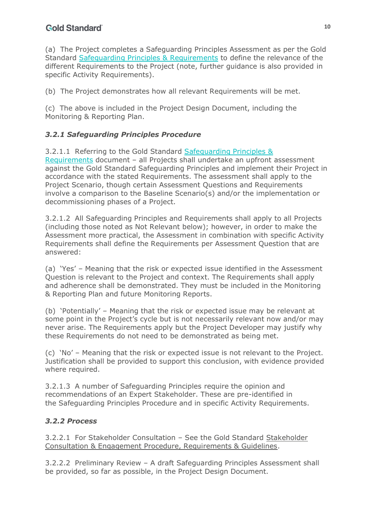(a) The Project completes a Safeguarding Principles Assessment as per the Gold Standard Safeguarding Principles & Requirements to define the relevance of the different Requirements to the Project (note, further guidance is also provided in specific Activity Requirements).

(b) The Project demonstrates how all relevant Requirements will be met.

(c) The above is included in the Project Design Document, including the Monitoring & Reporting Plan.

### *3.2.1 Safeguarding Principles Procedure*

3.2.1.1 Referring to the Gold Standard Safeguarding Principles & Requirements document – all Projects shall undertake an upfront assessment against the Gold Standard Safeguarding Principles and implement their Project in accordance with the stated Requirements. The assessment shall apply to the Project Scenario, though certain Assessment Questions and Requirements involve a comparison to the Baseline Scenario(s) and/or the implementation or decommissioning phases of a Project.

3.2.1.2 All Safeguarding Principles and Requirements shall apply to all Projects (including those noted as Not Relevant below); however, in order to make the Assessment more practical, the Assessment in combination with specific Activity Requirements shall define the Requirements per Assessment Question that are answered:

(a) 'Yes' – Meaning that the risk or expected issue identified in the Assessment Question is relevant to the Project and context. The Requirements shall apply and adherence shall be demonstrated. They must be included in the Monitoring & Reporting Plan and future Monitoring Reports.

(b) 'Potentially' – Meaning that the risk or expected issue may be relevant at some point in the Project's cycle but is not necessarily relevant now and/or may never arise. The Requirements apply but the Project Developer may justify why these Requirements do not need to be demonstrated as being met.

(c) 'No' – Meaning that the risk or expected issue is not relevant to the Project. Justification shall be provided to support this conclusion, with evidence provided where required.

3.2.1.3 A number of Safeguarding Principles require the opinion and recommendations of an Expert Stakeholder. These are pre-identified in the Safeguarding Principles Procedure and in specific Activity Requirements.

#### *3.2.2 Process*

3.2.2.1 For Stakeholder Consultation – See the Gold Standard Stakeholder Consultation & Engagement Procedure, Requirements & Guidelines.

3.2.2.2 Preliminary Review – A draft Safeguarding Principles Assessment shall be provided, so far as possible, in the Project Design Document.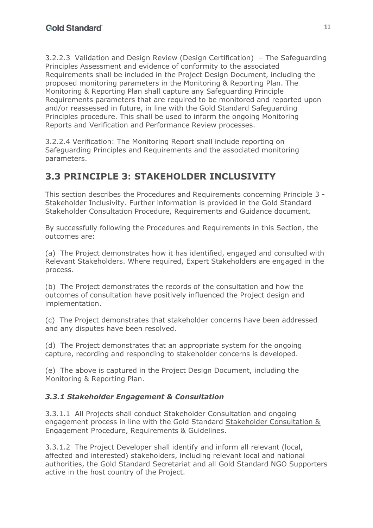3.2.2.3 Validation and Design Review (Design Certification) – The Safeguarding Principles Assessment and evidence of conformity to the associated Requirements shall be included in the Project Design Document, including the proposed monitoring parameters in the Monitoring & Reporting Plan. The Monitoring & Reporting Plan shall capture any Safeguarding Principle Requirements parameters that are required to be monitored and reported upon and/or reassessed in future, in line with the Gold Standard Safeguarding Principles procedure. This shall be used to inform the ongoing Monitoring Reports and Verification and Performance Review processes.

3.2.2.4 Verification: The Monitoring Report shall include reporting on Safeguarding Principles and Requirements and the associated monitoring parameters.

# **3.3 PRINCIPLE 3: STAKEHOLDER INCLUSIVITY**

This section describes the Procedures and Requirements concerning Principle 3 - Stakeholder Inclusivity. Further information is provided in the Gold Standard Stakeholder Consultation Procedure, Requirements and Guidance document.

By successfully following the Procedures and Requirements in this Section, the outcomes are:

(a) The Project demonstrates how it has identified, engaged and consulted with Relevant Stakeholders. Where required, Expert Stakeholders are engaged in the process.

(b) The Project demonstrates the records of the consultation and how the outcomes of consultation have positively influenced the Project design and implementation.

(c) The Project demonstrates that stakeholder concerns have been addressed and any disputes have been resolved.

(d) The Project demonstrates that an appropriate system for the ongoing capture, recording and responding to stakeholder concerns is developed.

(e) The above is captured in the Project Design Document, including the Monitoring & Reporting Plan.

### *3.3.1 Stakeholder Engagement & Consultation*

3.3.1.1 All Projects shall conduct Stakeholder Consultation and ongoing engagement process in line with the Gold Standard Stakeholder Consultation & Engagement Procedure, Requirements & Guidelines.

3.3.1.2 The Project Developer shall identify and inform all relevant (local, affected and interested) stakeholders, including relevant local and national authorities, the Gold Standard Secretariat and all Gold Standard NGO Supporters active in the host country of the Project.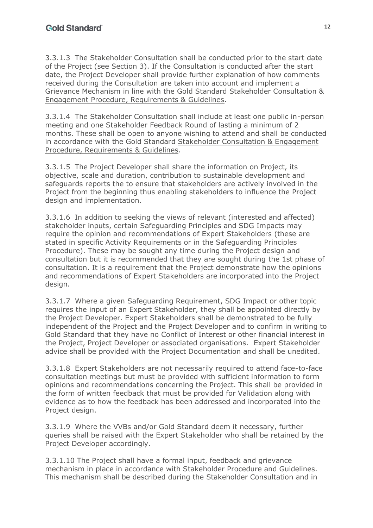3.3.1.3 The Stakeholder Consultation shall be conducted prior to the start date of the Project (see Section 3). If the Consultation is conducted after the start date, the Project Developer shall provide further explanation of how comments received during the Consultation are taken into account and implement a Grievance Mechanism in line with the Gold Standard Stakeholder Consultation & Engagement Procedure, Requirements & Guidelines.

3.3.1.4 The Stakeholder Consultation shall include at least one public in-person meeting and one Stakeholder Feedback Round of lasting a minimum of 2 months. These shall be open to anyone wishing to attend and shall be conducted in accordance with the Gold Standard Stakeholder Consultation & Engagement Procedure, Requirements & Guidelines.

3.3.1.5 The Project Developer shall share the information on Project, its objective, scale and duration, contribution to sustainable development and safeguards reports the to ensure that stakeholders are actively involved in the Project from the beginning thus enabling stakeholders to influence the Project design and implementation.

3.3.1.6 In addition to seeking the views of relevant (interested and affected) stakeholder inputs, certain Safeguarding Principles and SDG Impacts may require the opinion and recommendations of Expert Stakeholders (these are stated in specific Activity Requirements or in the Safeguarding Principles Procedure). These may be sought any time during the Project design and consultation but it is recommended that they are sought during the 1st phase of consultation. It is a requirement that the Project demonstrate how the opinions and recommendations of Expert Stakeholders are incorporated into the Project design.

3.3.1.7 Where a given Safeguarding Requirement, SDG Impact or other topic requires the input of an Expert Stakeholder, they shall be appointed directly by the Project Developer. Expert Stakeholders shall be demonstrated to be fully independent of the Project and the Project Developer and to confirm in writing to Gold Standard that they have no Conflict of Interest or other financial interest in the Project, Project Developer or associated organisations. Expert Stakeholder advice shall be provided with the Project Documentation and shall be unedited.

3.3.1.8 Expert Stakeholders are not necessarily required to attend face-to-face consultation meetings but must be provided with sufficient information to form opinions and recommendations concerning the Project. This shall be provided in the form of written feedback that must be provided for Validation along with evidence as to how the feedback has been addressed and incorporated into the Project design.

3.3.1.9 Where the VVBs and/or Gold Standard deem it necessary, further queries shall be raised with the Expert Stakeholder who shall be retained by the Project Developer accordingly.

3.3.1.10 The Project shall have a formal input, feedback and grievance mechanism in place in accordance with Stakeholder Procedure and Guidelines. This mechanism shall be described during the Stakeholder Consultation and in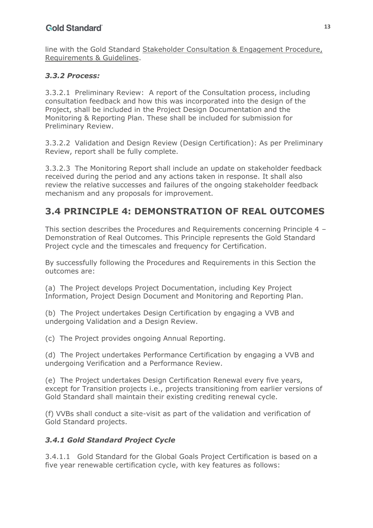line with the Gold Standard Stakeholder Consultation & Engagement Procedure, Requirements & Guidelines.

#### *3.3.2 Process:*

3.3.2.1 Preliminary Review: A report of the Consultation process, including consultation feedback and how this was incorporated into the design of the Project, shall be included in the Project Design Documentation and the Monitoring & Reporting Plan. These shall be included for submission for Preliminary Review.

3.3.2.2 Validation and Design Review (Design Certification): As per Preliminary Review, report shall be fully complete.

3.3.2.3 The Monitoring Report shall include an update on stakeholder feedback received during the period and any actions taken in response. It shall also review the relative successes and failures of the ongoing stakeholder feedback mechanism and any proposals for improvement.

## **3.4 PRINCIPLE 4: DEMONSTRATION OF REAL OUTCOMES**

This section describes the Procedures and Requirements concerning Principle 4 – Demonstration of Real Outcomes. This Principle represents the Gold Standard Project cycle and the timescales and frequency for Certification.

By successfully following the Procedures and Requirements in this Section the outcomes are:

(a) The Project develops Project Documentation, including Key Project Information, Project Design Document and Monitoring and Reporting Plan.

(b) The Project undertakes Design Certification by engaging a VVB and undergoing Validation and a Design Review.

(c) The Project provides ongoing Annual Reporting.

(d) The Project undertakes Performance Certification by engaging a VVB and undergoing Verification and a Performance Review.

(e) The Project undertakes Design Certification Renewal every five years, except for Transition projects i.e., projects transitioning from earlier versions of Gold Standard shall maintain their existing crediting renewal cycle.

(f) VVBs shall conduct a site-visit as part of the validation and verification of Gold Standard projects.

#### *3.4.1 Gold Standard Project Cycle*

3.4.1.1 Gold Standard for the Global Goals Project Certification is based on a five year renewable certification cycle, with key features as follows: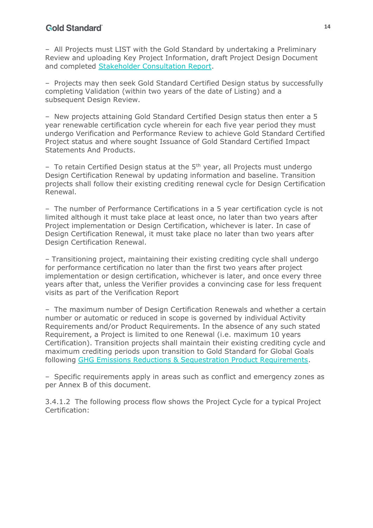– All Projects must LIST with the Gold Standard by undertaking a Preliminary Review and uploading Key Project Information, draft Project Design Document and completed Stakeholder Consultation Report.

– Projects may then seek Gold Standard Certified Design status by successfully completing Validation (within two years of the date of Listing) and a subsequent Design Review.

– New projects attaining Gold Standard Certified Design status then enter a 5 year renewable certification cycle wherein for each five year period they must undergo Verification and Performance Review to achieve Gold Standard Certified Project status and where sought Issuance of Gold Standard Certified Impact Statements And Products.

 $-$  To retain Certified Design status at the  $5<sup>th</sup>$  year, all Projects must undergo Design Certification Renewal by updating information and baseline. Transition projects shall follow their existing crediting renewal cycle for Design Certification Renewal.

– The number of Performance Certifications in a 5 year certification cycle is not limited although it must take place at least once, no later than two years after Project implementation or Design Certification, whichever is later. In case of Design Certification Renewal, it must take place no later than two years after Design Certification Renewal.

– Transitioning project, maintaining their existing crediting cycle shall undergo for performance certification no later than the first two years after project implementation or design certification, whichever is later, and once every three years after that, unless the Verifier provides a convincing case for less frequent visits as part of the Verification Report

– The maximum number of Design Certification Renewals and whether a certain number or automatic or reduced in scope is governed by individual Activity Requirements and/or Product Requirements. In the absence of any such stated Requirement, a Project is limited to one Renewal (i.e. maximum 10 years Certification). Transition projects shall maintain their existing crediting cycle and maximum crediting periods upon transition to Gold Standard for Global Goals following GHG Emissions Reductions & Sequestration Product Requirements.

– Specific requirements apply in areas such as conflict and emergency zones as per Annex B of this document.

3.4.1.2 The following process flow shows the Project Cycle for a typical Project Certification: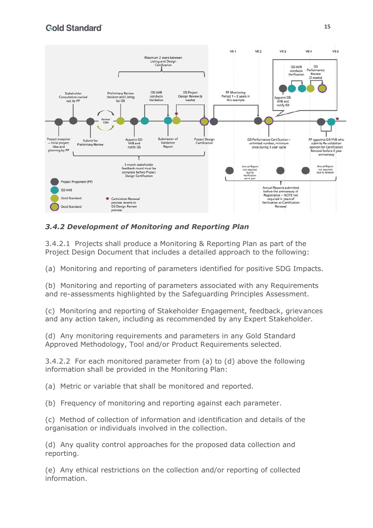

### *3.4.2 Development of Monitoring and Reporting Plan*

3.4.2.1 Projects shall produce a Monitoring & Reporting Plan as part of the Project Design Document that includes a detailed approach to the following:

(a) Monitoring and reporting of parameters identified for positive SDG Impacts.

(b) Monitoring and reporting of parameters associated with any Requirements and re-assessments highlighted by the Safeguarding Principles Assessment.

(c) Monitoring and reporting of Stakeholder Engagement, feedback, grievances and any action taken, including as recommended by any Expert Stakeholder.

(d) Any monitoring requirements and parameters in any Gold Standard Approved Methodology, Tool and/or Product Requirements selected.

3.4.2.2 For each monitored parameter from (a) to (d) above the following information shall be provided in the Monitoring Plan:

(a) Metric or variable that shall be monitored and reported.

(b) Frequency of monitoring and reporting against each parameter.

(c) Method of collection of information and identification and details of the organisation or individuals involved in the collection.

(d) Any quality control approaches for the proposed data collection and reporting.

(e) Any ethical restrictions on the collection and/or reporting of collected information.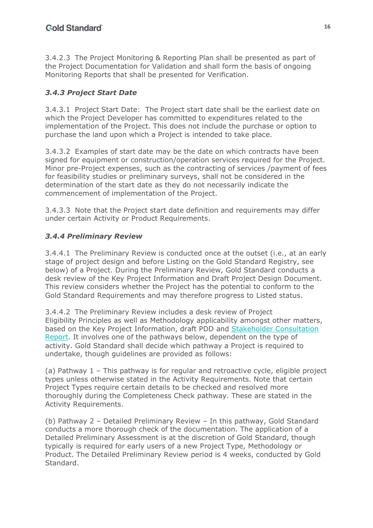3.4.2.3 The Project Monitoring & Reporting Plan shall be presented as part of the Project Documentation for Validation and shall form the basis of ongoing Monitoring Reports that shall be presented for Verification.

## *3.4.3 Project Start Date*

3.4.3.1 Project Start Date: The Project start date shall be the earliest date on which the Project Developer has committed to expenditures related to the implementation of the Project. This does not include the purchase or option to purchase the land upon which a Project is intended to take place.

3.4.3.2 Examples of start date may be the date on which contracts have been signed for equipment or construction/operation services required for the Project. Minor pre-Project expenses, such as the contracting of services /payment of fees for feasibility studies or preliminary surveys, shall not be considered in the determination of the start date as they do not necessarily indicate the commencement of implementation of the Project.

3.4.3.3 Note that the Project start date definition and requirements may differ under certain Activity or Product Requirements.

### *3.4.4 Preliminary Review*

3.4.4.1 The Preliminary Review is conducted once at the outset (i.e., at an early stage of project design and before Listing on the Gold Standard Registry, see below) of a Project. During the Preliminary Review, Gold Standard conducts a desk review of the Key Project Information and Draft Project Design Document. This review considers whether the Project has the potential to conform to the Gold Standard Requirements and may therefore progress to Listed status.

3.4.4.2 The Preliminary Review includes a desk review of Project Eligibility Principles as well as Methodology applicability amongst other matters, based on the Key Project Information, draft PDD and Stakeholder Consultation Report. It involves one of the pathways below, dependent on the type of activity. Gold Standard shall decide which pathway a Project is required to undertake, though guidelines are provided as follows:

(a) Pathway 1 – This pathway is for regular and retroactive cycle, eligible project types unless otherwise stated in the Activity Requirements. Note that certain Project Types require certain details to be checked and resolved more thoroughly during the Completeness Check pathway. These are stated in the Activity Requirements.

(b) Pathway 2 – Detailed Preliminary Review – In this pathway, Gold Standard conducts a more thorough check of the documentation. The application of a Detailed Preliminary Assessment is at the discretion of Gold Standard, though typically is required for early users of a new Project Type, Methodology or Product. The Detailed Preliminary Review period is 4 weeks, conducted by Gold Standard.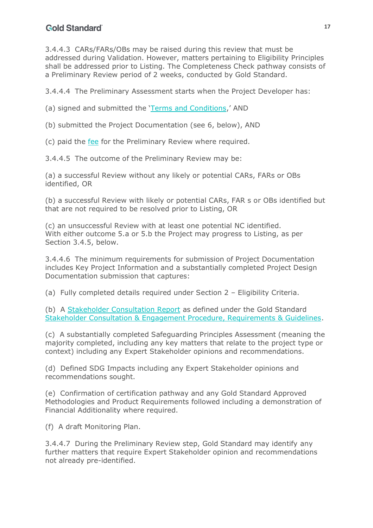3.4.4.3 CARs/FARs/OBs may be raised during this review that must be addressed during Validation. However, matters pertaining to Eligibility Principles shall be addressed prior to Listing. The Completeness Check pathway consists of a Preliminary Review period of 2 weeks, conducted by Gold Standard.

3.4.4.4 The Preliminary Assessment starts when the Project Developer has:

(a) signed and submitted the 'Terms and Conditions,' AND

(b) submitted the Project Documentation (see 6, below), AND

(c) paid the fee for the Preliminary Review where required.

3.4.4.5 The outcome of the Preliminary Review may be:

(a) a successful Review without any likely or potential CARs, FARs or OBs identified, OR

(b) a successful Review with likely or potential CARs, FAR s or OBs identified but that are not required to be resolved prior to Listing, OR

(c) an unsuccessful Review with at least one potential NC identified. With either outcome 5.a or 5.b the Project may progress to Listing, as per Section 3.4.5, below.

3.4.4.6 The minimum requirements for submission of Project Documentation includes Key Project Information and a substantially completed Project Design Documentation submission that captures:

(a) Fully completed details required under Section 2 – Eligibility Criteria.

(b) A Stakeholder Consultation Report as defined under the Gold Standard Stakeholder Consultation & Engagement Procedure, Requirements & Guidelines.

(c) A substantially completed Safeguarding Principles Assessment (meaning the majority completed, including any key matters that relate to the project type or context) including any Expert Stakeholder opinions and recommendations.

(d) Defined SDG Impacts including any Expert Stakeholder opinions and recommendations sought.

(e) Confirmation of certification pathway and any Gold Standard Approved Methodologies and Product Requirements followed including a demonstration of Financial Additionality where required.

(f) A draft Monitoring Plan.

3.4.4.7 During the Preliminary Review step, Gold Standard may identify any further matters that require Expert Stakeholder opinion and recommendations not already pre-identified.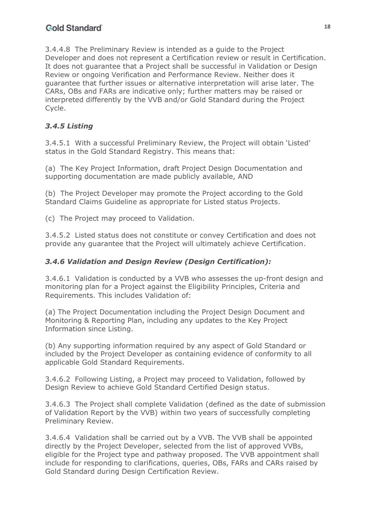3.4.4.8 The Preliminary Review is intended as a guide to the Project Developer and does not represent a Certification review or result in Certification. It does not guarantee that a Project shall be successful in Validation or Design Review or ongoing Verification and Performance Review. Neither does it guarantee that further issues or alternative interpretation will arise later. The CARs, OBs and FARs are indicative only; further matters may be raised or interpreted differently by the VVB and/or Gold Standard during the Project Cycle.

### *3.4.5 Listing*

3.4.5.1 With a successful Preliminary Review, the Project will obtain 'Listed' status in the Gold Standard Registry. This means that:

(a) The Key Project Information, draft Project Design Documentation and supporting documentation are made publicly available, AND

(b) The Project Developer may promote the Project according to the Gold Standard Claims Guideline as appropriate for Listed status Projects.

(c) The Project may proceed to Validation.

3.4.5.2 Listed status does not constitute or convey Certification and does not provide any guarantee that the Project will ultimately achieve Certification.

#### *3.4.6 Validation and Design Review (Design Certification):*

3.4.6.1 Validation is conducted by a VVB who assesses the up-front design and monitoring plan for a Project against the Eligibility Principles, Criteria and Requirements. This includes Validation of:

(a) The Project Documentation including the Project Design Document and Monitoring & Reporting Plan, including any updates to the Key Project Information since Listing.

(b) Any supporting information required by any aspect of Gold Standard or included by the Project Developer as containing evidence of conformity to all applicable Gold Standard Requirements.

3.4.6.2 Following Listing, a Project may proceed to Validation, followed by Design Review to achieve Gold Standard Certified Design status.

3.4.6.3 The Project shall complete Validation (defined as the date of submission of Validation Report by the VVB) within two years of successfully completing Preliminary Review.

3.4.6.4 Validation shall be carried out by a VVB. The VVB shall be appointed directly by the Project Developer, selected from the list of approved VVBs, eligible for the Project type and pathway proposed. The VVB appointment shall include for responding to clarifications, queries, OBs, FARs and CARs raised by Gold Standard during Design Certification Review.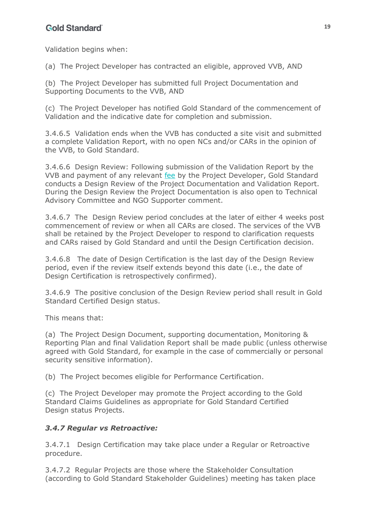Validation begins when:

(a) The Project Developer has contracted an eligible, approved VVB, AND

(b) The Project Developer has submitted full Project Documentation and Supporting Documents to the VVB, AND

(c) The Project Developer has notified Gold Standard of the commencement of Validation and the indicative date for completion and submission.

3.4.6.5 Validation ends when the VVB has conducted a site visit and submitted a complete Validation Report, with no open NCs and/or CARs in the opinion of the VVB, to Gold Standard.

3.4.6.6 Design Review: Following submission of the Validation Report by the VVB and payment of any relevant fee by the Project Developer, Gold Standard conducts a Design Review of the Project Documentation and Validation Report. During the Design Review the Project Documentation is also open to Technical Advisory Committee and NGO Supporter comment.

3.4.6.7 The Design Review period concludes at the later of either 4 weeks post commencement of review or when all CARs are closed. The services of the VVB shall be retained by the Project Developer to respond to clarification requests and CARs raised by Gold Standard and until the Design Certification decision.

3.4.6.8 The date of Design Certification is the last day of the Design Review period, even if the review itself extends beyond this date (i.e., the date of Design Certification is retrospectively confirmed).

3.4.6.9 The positive conclusion of the Design Review period shall result in Gold Standard Certified Design status.

This means that:

(a) The Project Design Document, supporting documentation, Monitoring & Reporting Plan and final Validation Report shall be made public (unless otherwise agreed with Gold Standard, for example in the case of commercially or personal security sensitive information).

(b) The Project becomes eligible for Performance Certification.

(c) The Project Developer may promote the Project according to the Gold Standard Claims Guidelines as appropriate for Gold Standard Certified Design status Projects.

#### *3.4.7 Regular vs Retroactive:*

3.4.7.1 Design Certification may take place under a Regular or Retroactive procedure.

3.4.7.2 Regular Projects are those where the Stakeholder Consultation (according to Gold Standard Stakeholder Guidelines) meeting has taken place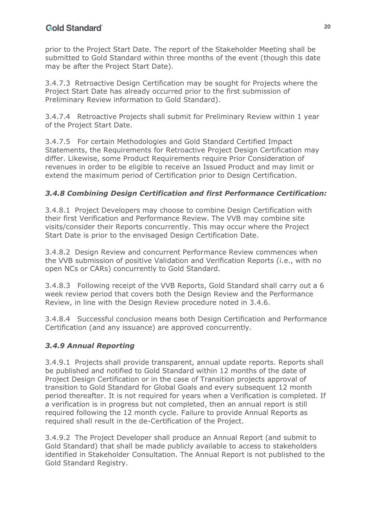prior to the Project Start Date. The report of the Stakeholder Meeting shall be submitted to Gold Standard within three months of the event (though this date may be after the Project Start Date).

3.4.7.3 Retroactive Design Certification may be sought for Projects where the Project Start Date has already occurred prior to the first submission of Preliminary Review information to Gold Standard).

3.4.7.4 Retroactive Projects shall submit for Preliminary Review within 1 year of the Project Start Date.

3.4.7.5 For certain Methodologies and Gold Standard Certified Impact Statements, the Requirements for Retroactive Project Design Certification may differ. Likewise, some Product Requirements require Prior Consideration of revenues in order to be eligible to receive an Issued Product and may limit or extend the maximum period of Certification prior to Design Certification.

## *3.4.8 Combining Design Certification and first Performance Certification:*

3.4.8.1 Project Developers may choose to combine Design Certification with their first Verification and Performance Review. The VVB may combine site visits/consider their Reports concurrently. This may occur where the Project Start Date is prior to the envisaged Design Certification Date.

3.4.8.2 Design Review and concurrent Performance Review commences when the VVB submission of positive Validation and Verification Reports (i.e., with no open NCs or CARs) concurrently to Gold Standard.

3.4.8.3 Following receipt of the VVB Reports, Gold Standard shall carry out a 6 week review period that covers both the Design Review and the Performance Review, in line with the Design Review procedure noted in 3.4.6.

3.4.8.4 Successful conclusion means both Design Certification and Performance Certification (and any issuance) are approved concurrently.

### *3.4.9 Annual Reporting*

3.4.9.1 Projects shall provide transparent, annual update reports. Reports shall be published and notified to Gold Standard within 12 months of the date of Project Design Certification or in the case of Transition projects approval of transition to Gold Standard for Global Goals and every subsequent 12 month period thereafter. It is not required for years when a Verification is completed. If a verification is in progress but not completed, then an annual report is still required following the 12 month cycle. Failure to provide Annual Reports as required shall result in the de-Certification of the Project.

3.4.9.2 The Project Developer shall produce an Annual Report (and submit to Gold Standard) that shall be made publicly available to access to stakeholders identified in Stakeholder Consultation. The Annual Report is not published to the Gold Standard Registry.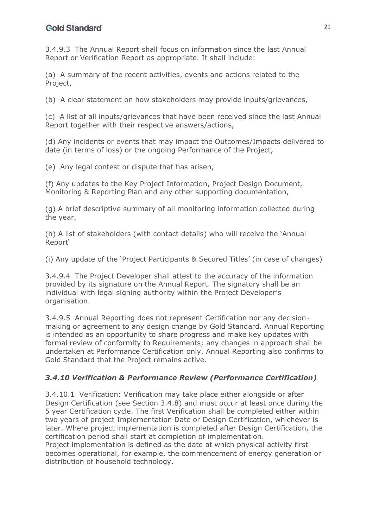3.4.9.3 The Annual Report shall focus on information since the last Annual Report or Verification Report as appropriate. It shall include:

(a) A summary of the recent activities, events and actions related to the Project,

(b) A clear statement on how stakeholders may provide inputs/grievances,

(c) A list of all inputs/grievances that have been received since the last Annual Report together with their respective answers/actions,

(d) Any incidents or events that may impact the Outcomes/Impacts delivered to date (in terms of loss) or the ongoing Performance of the Project,

(e) Any legal contest or dispute that has arisen,

(f) Any updates to the Key Project Information, Project Design Document, Monitoring & Reporting Plan and any other supporting documentation,

(g) A brief descriptive summary of all monitoring information collected during the year,

(h) A list of stakeholders (with contact details) who will receive the 'Annual Report'

(i) Any update of the 'Project Participants & Secured Titles' (in case of changes)

3.4.9.4 The Project Developer shall attest to the accuracy of the information provided by its signature on the Annual Report. The signatory shall be an individual with legal signing authority within the Project Developer's organisation.

3.4.9.5 Annual Reporting does not represent Certification nor any decisionmaking or agreement to any design change by Gold Standard. Annual Reporting is intended as an opportunity to share progress and make key updates with formal review of conformity to Requirements; any changes in approach shall be undertaken at Performance Certification only. Annual Reporting also confirms to Gold Standard that the Project remains active.

#### *3.4.10 Verification & Performance Review (Performance Certification)*

3.4.10.1 Verification: Verification may take place either alongside or after Design Certification (see Section 3.4.8) and must occur at least once during the 5 year Certification cycle. The first Verification shall be completed either within two years of project Implementation Date or Design Certification, whichever is later. Where project implementation is completed after Design Certification, the certification period shall start at completion of implementation.

Project implementation is defined as the date at which physical activity first becomes operational, for example, the commencement of energy generation or distribution of household technology.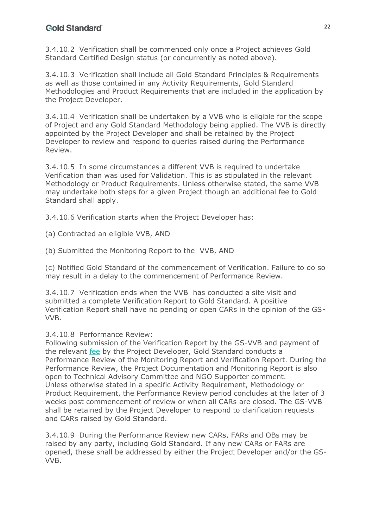3.4.10.2 Verification shall be commenced only once a Project achieves Gold Standard Certified Design status (or concurrently as noted above).

3.4.10.3 Verification shall include all Gold Standard Principles & Requirements as well as those contained in any Activity Requirements, Gold Standard Methodologies and Product Requirements that are included in the application by the Project Developer.

3.4.10.4 Verification shall be undertaken by a VVB who is eligible for the scope of Project and any Gold Standard Methodology being applied. The VVB is directly appointed by the Project Developer and shall be retained by the Project Developer to review and respond to queries raised during the Performance Review.

3.4.10.5 In some circumstances a different VVB is required to undertake Verification than was used for Validation. This is as stipulated in the relevant Methodology or Product Requirements. Unless otherwise stated, the same VVB may undertake both steps for a given Project though an additional fee to Gold Standard shall apply.

3.4.10.6 Verification starts when the Project Developer has:

(a) Contracted an eligible VVB, AND

(b) Submitted the Monitoring Report to the VVB, AND

(c) Notified Gold Standard of the commencement of Verification. Failure to do so may result in a delay to the commencement of Performance Review.

3.4.10.7 Verification ends when the VVB has conducted a site visit and submitted a complete Verification Report to Gold Standard. A positive Verification Report shall have no pending or open CARs in the opinion of the GS-VVB.

#### 3.4.10.8 Performance Review:

Following submission of the Verification Report by the GS-VVB and payment of the relevant fee by the Project Developer, Gold Standard conducts a Performance Review of the Monitoring Report and Verification Report. During the Performance Review, the Project Documentation and Monitoring Report is also open to Technical Advisory Committee and NGO Supporter comment. Unless otherwise stated in a specific Activity Requirement, Methodology or Product Requirement, the Performance Review period concludes at the later of 3 weeks post commencement of review or when all CARs are closed. The GS-VVB shall be retained by the Project Developer to respond to clarification requests and CARs raised by Gold Standard.

3.4.10.9 During the Performance Review new CARs, FARs and OBs may be raised by any party, including Gold Standard. If any new CARs or FARs are opened, these shall be addressed by either the Project Developer and/or the GS-VVB.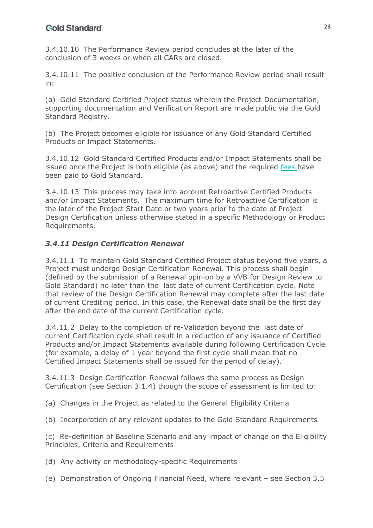3.4.10.10 The Performance Review period concludes at the later of the conclusion of 3 weeks or when all CARs are closed.

3.4.10.11 The positive conclusion of the Performance Review period shall result in:

(a) Gold Standard Certified Project status wherein the Project Documentation, supporting documentation and Verification Report are made public via the Gold Standard Registry.

(b) The Project becomes eligible for issuance of any Gold Standard Certified Products or Impact Statements.

3.4.10.12 Gold Standard Certified Products and/or Impact Statements shall be issued once the Project is both eligible (as above) and the required fees have been paid to Gold Standard.

3.4.10.13 This process may take into account Retroactive Certified Products and/or Impact Statements. The maximum time for Retroactive Certification is the later of the Project Start Date or two years prior to the date of Project Design Certification unless otherwise stated in a specific Methodology or Product Requirements.

### *3.4.11 Design Certification Renewal*

3.4.11.1 To maintain Gold Standard Certified Project status beyond five years, a Project must undergo Design Certification Renewal. This process shall begin (defined by the submission of a Renewal opinion by a VVB for Design Review to Gold Standard) no later than the last date of current Certification cycle. Note that review of the Design Certification Renewal may complete after the last date of current Crediting period. In this case, the Renewal date shall be the first day after the end date of the current Certification cycle.

3.4.11.2 Delay to the completion of re-Validation beyond the last date of current Certification cycle shall result in a reduction of any issuance of Certified Products and/or Impact Statements available during following Certification Cycle (for example, a delay of 1 year beyond the first cycle shall mean that no Certified Impact Statements shall be issued for the period of delay).

3.4.11.3 Design Certification Renewal follows the same process as Design Certification (see Section 3.1.4) though the scope of assessment is limited to:

(a) Changes in the Project as related to the General Eligibility Criteria

(b) Incorporation of any relevant updates to the Gold Standard Requirements

(c) Re-definition of Baseline Scenario and any impact of change on the Eligibility Principles, Criteria and Requirements

- (d) Any activity or methodology-specific Requirements
- (e) Demonstration of Ongoing Financial Need, where relevant see Section 3.5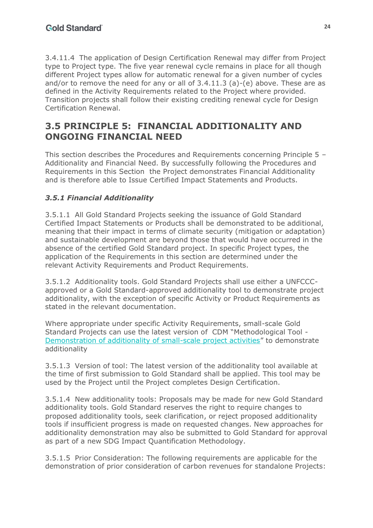3.4.11.4 The application of Design Certification Renewal may differ from Project type to Project type. The five year renewal cycle remains in place for all though different Project types allow for automatic renewal for a given number of cycles and/or to remove the need for any or all of 3.4.11.3 (a)-(e) above. These are as defined in the Activity Requirements related to the Project where provided. Transition projects shall follow their existing crediting renewal cycle for Design Certification Renewal.

## **3.5 PRINCIPLE 5: FINANCIAL ADDITIONALITY AND ONGOING FINANCIAL NEED**

This section describes the Procedures and Requirements concerning Principle 5 – Additionality and Financial Need. By successfully following the Procedures and Requirements in this Section the Project demonstrates Financial Additionality and is therefore able to Issue Certified Impact Statements and Products.

### *3.5.1 Financial Additionality*

3.5.1.1 All Gold Standard Projects seeking the issuance of Gold Standard Certified Impact Statements or Products shall be demonstrated to be additional, meaning that their impact in terms of climate security (mitigation or adaptation) and sustainable development are beyond those that would have occurred in the absence of the certified Gold Standard project. In specific Project types, the application of the Requirements in this section are determined under the relevant Activity Requirements and Product Requirements.

3.5.1.2 Additionality tools. Gold Standard Projects shall use either a UNFCCCapproved or a Gold Standard-approved additionality tool to demonstrate project additionality, with the exception of specific Activity or Product Requirements as stated in the relevant documentation.

Where appropriate under specific Activity Requirements, small-scale Gold Standard Projects can use the latest version of CDM "Methodological Tool - Demonstration of additionality of small-scale project activities" to demonstrate additionality

3.5.1.3Version of tool: The latest version of the additionality tool available at the time of first submission to Gold Standard shall be applied. This tool may be used by the Project until the Project completes Design Certification.

3.5.1.4 New additionality tools: Proposals may be made for new Gold Standard additionality tools. Gold Standard reserves the right to require changes to proposed additionality tools, seek clarification, or reject proposed additionality tools if insufficient progress is made on requested changes. New approaches for additionality demonstration may also be submitted to Gold Standard for approval as part of a new SDG Impact Quantification Methodology.

3.5.1.5 Prior Consideration: The following requirements are applicable for the demonstration of prior consideration of carbon revenues for standalone Projects: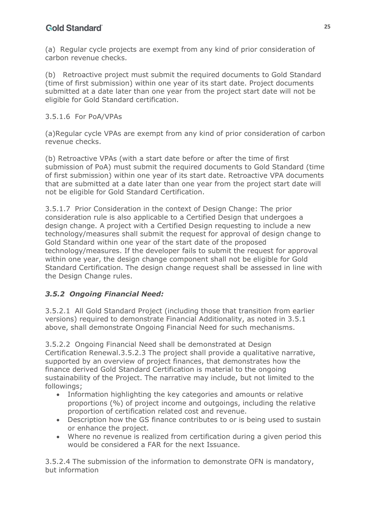(a) Regular cycle projects are exempt from any kind of prior consideration of carbon revenue checks.

(b) Retroactive project must submit the required documents to Gold Standard (time of first submission) within one year of its start date. Project documents submitted at a date later than one year from the project start date will not be eligible for Gold Standard certification.

#### 3.5.1.6 For PoA/VPAs

(a)Regular cycle VPAs are exempt from any kind of prior consideration of carbon revenue checks.

(b) Retroactive VPAs (with a start date before or after the time of first submission of PoA) must submit the required documents to Gold Standard (time of first submission) within one year of its start date. Retroactive VPA documents that are submitted at a date later than one year from the project start date will not be eligible for Gold Standard Certification.

3.5.1.7 Prior Consideration in the context of Design Change: The prior consideration rule is also applicable to a Certified Design that undergoes a design change. A project with a Certified Design requesting to include a new technology/measures shall submit the request for approval of design change to Gold Standard within one year of the start date of the proposed technology/measures. If the developer fails to submit the request for approval within one year, the design change component shall not be eligible for Gold Standard Certification. The design change request shall be assessed in line with the Design Change rules.

#### *3.5.2 Ongoing Financial Need:*

3.5.2.1 All Gold Standard Project (including those that transition from earlier versions) required to demonstrate Financial Additionality, as noted in 3.5.1 above, shall demonstrate Ongoing Financial Need for such mechanisms.

3.5.2.2 Ongoing Financial Need shall be demonstrated at Design Certification Renewal.3.5.2.3 The project shall provide a qualitative narrative, supported by an overview of project finances, that demonstrates how the finance derived Gold Standard Certification is material to the ongoing sustainability of the Project. The narrative may include, but not limited to the followings;

- Information highlighting the key categories and amounts or relative proportions (%) of project income and outgoings, including the relative proportion of certification related cost and revenue.
- Description how the GS finance contributes to or is being used to sustain or enhance the project.
- Where no revenue is realized from certification during a given period this would be considered a FAR for the next Issuance.

3.5.2.4 The submission of the information to demonstrate OFN is mandatory, but information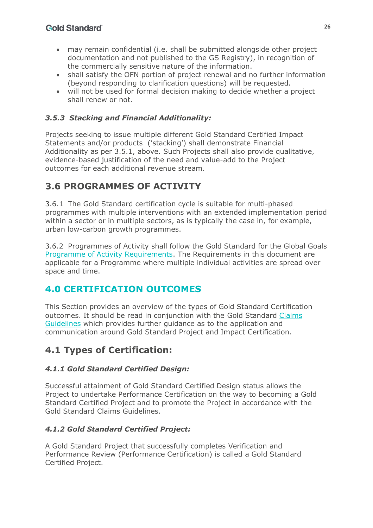- may remain confidential (i.e. shall be submitted alongside other project documentation and not published to the GS Registry), in recognition of the commercially sensitive nature of the information.
- shall satisfy the OFN portion of project renewal and no further information (beyond responding to clarification questions) will be requested.
- will not be used for formal decision making to decide whether a project shall renew or not.

## *3.5.3 Stacking and Financial Additionality:*

Projects seeking to issue multiple different Gold Standard Certified Impact Statements and/or products ('stacking') shall demonstrate Financial Additionality as per 3.5.1, above. Such Projects shall also provide qualitative, evidence-based justification of the need and value-add to the Project outcomes for each additional revenue stream.

# **3.6 PROGRAMMES OF ACTIVITY**

3.6.1 The Gold Standard certification cycle is suitable for multi-phased programmes with multiple interventions with an extended implementation period within a sector or in multiple sectors, as is typically the case in, for example, urban low-carbon growth programmes.

3.6.2 Programmes of Activity shall follow the Gold Standard for the Global Goals Programme of Activity Requirements. The Requirements in this document are applicable for a Programme where multiple individual activities are spread over space and time.

# <span id="page-25-0"></span>**4.0 CERTIFICATION OUTCOMES**

This Section provides an overview of the types of Gold Standard Certification outcomes. It should be read in conjunction with the Gold Standard Claims Guidelines which provides further guidance as to the application and communication around Gold Standard Project and Impact Certification.

# **4.1 Types of Certification:**

### *4.1.1 Gold Standard Certified Design:*

Successful attainment of Gold Standard Certified Design status allows the Project to undertake Performance Certification on the way to becoming a Gold Standard Certified Project and to promote the Project in accordance with the Gold Standard Claims Guidelines.

## *4.1.2 Gold Standard Certified Project:*

A Gold Standard Project that successfully completes Verification and Performance Review (Performance Certification) is called a Gold Standard Certified Project.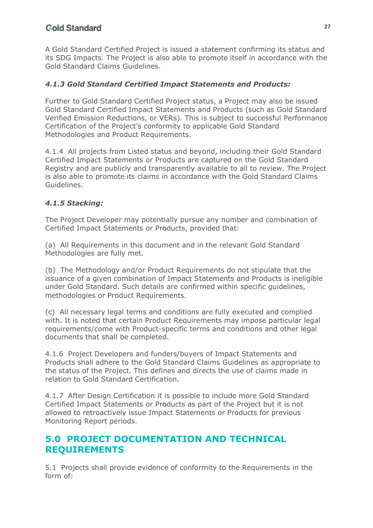A Gold Standard Certified Project is issued a statement confirming its status and its SDG Impacts. The Project is also able to promote itself in accordance with the Gold Standard Claims Guidelines.

#### *4.1.3 Gold Standard Certified Impact Statements and Products:*

Further to Gold Standard Certified Project status, a Project may also be issued Gold Standard Certified Impact Statements and Products (such as Gold Standard Verified Emission Reductions, or VERs). This is subject to successful Performance Certification of the Project's conformity to applicable Gold Standard Methodologies and Product Requirements.

4.1.4 All projects from Listed status and beyond, including their Gold Standard Certified Impact Statements or Products are captured on the Gold Standard Registry and are publicly and transparently available to all to review. The Project is also able to promote its claims in accordance with the Gold Standard Claims Guidelines.

#### *4.1.5 Stacking:*

The Project Developer may potentially pursue any number and combination of Certified Impact Statements or Products, provided that:

(a) All Requirements in this document and in the relevant Gold Standard Methodologies are fully met.

(b) The Methodology and/or Product Requirements do not stipulate that the issuance of a given combination of Impact Statements and Products is ineligible under Gold Standard. Such details are confirmed within specific guidelines, methodologies or Product Requirements.

(c) All necessary legal terms and conditions are fully executed and complied with. It is noted that certain Product Requirements may impose particular legal requirements/come with Product-specific terms and conditions and other legal documents that shall be completed.

4.1.6 Project Developers and funders/buyers of Impact Statements and Products shall adhere to the Gold Standard Claims Guidelines as appropriate to the status of the Project. This defines and directs the use of claims made in relation to Gold Standard Certification.

4.1.7 After Design Certification it is possible to include more Gold Standard Certified Impact Statements or Products as part of the Project but it is not allowed to retroactively issue Impact Statements or Products for previous Monitoring Report periods.

## <span id="page-26-0"></span>**5.0 PROJECT DOCUMENTATION AND TECHNICAL REQUIREMENTS**

5.1 Projects shall provide evidence of conformity to the Requirements in the form of: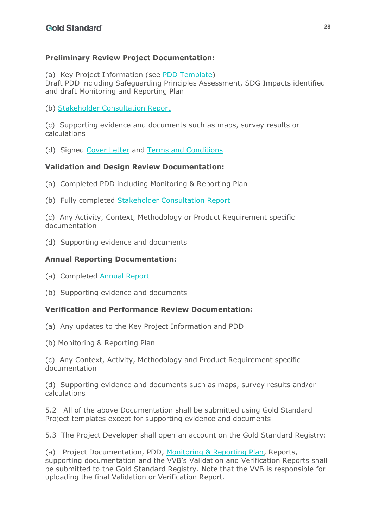### **Preliminary Review Project Documentation:**

(a) Key Project Information (see PDD Template)

Draft PDD including Safeguarding Principles Assessment, SDG Impacts identified and draft Monitoring and Reporting Plan

(b) Stakeholder Consultation Report

(c) Supporting evidence and documents such as maps, survey results or calculations

(d) Signed Cover Letter and Terms and Conditions

### **Validation and Design Review Documentation:**

- (a) Completed PDD including Monitoring & Reporting Plan
- (b) Fully completed Stakeholder Consultation Report

(c) Any Activity, Context, Methodology or Product Requirement specific documentation

(d) Supporting evidence and documents

### **Annual Reporting Documentation:**

(a) Completed Annual Report

(b) Supporting evidence and documents

#### **Verification and Performance Review Documentation:**

- (a) Any updates to the Key Project Information and PDD
- (b) Monitoring & Reporting Plan

(c) Any Context, Activity, Methodology and Product Requirement specific documentation

(d) Supporting evidence and documents such as maps, survey results and/or calculations

5.2 All of the above Documentation shall be submitted using Gold Standard Project templates except for supporting evidence and documents

5.3 The Project Developer shall open an account on the Gold Standard Registry:

(a) Project Documentation, PDD, Monitoring & Reporting Plan, Reports, supporting documentation and the VVB's Validation and Verification Reports shall be submitted to the Gold Standard Registry. Note that the VVB is responsible for uploading the final Validation or Verification Report.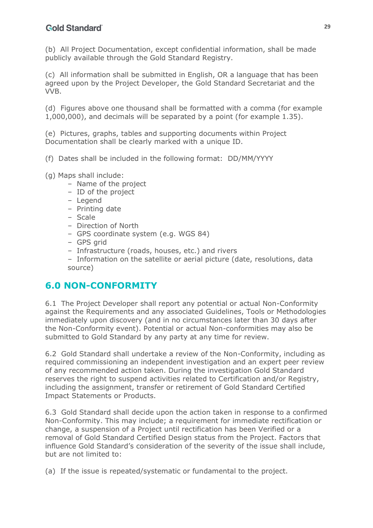(b) All Project Documentation, except confidential information, shall be made publicly available through the Gold Standard Registry.

(c) All information shall be submitted in English, OR a language that has been agreed upon by the Project Developer, the Gold Standard Secretariat and the VVB.

(d) Figures above one thousand shall be formatted with a comma (for example 1,000,000), and decimals will be separated by a point (for example 1.35).

(e) Pictures, graphs, tables and supporting documents within Project Documentation shall be clearly marked with a unique ID.

- (f) Dates shall be included in the following format: DD/MM/YYYY
- (g) Maps shall include:
	- Name of the project
	- ID of the project
	- Legend
	- Printing date
	- Scale
	- Direction of North
	- GPS coordinate system (e.g. WGS 84)
	- GPS grid
	- Infrastructure (roads, houses, etc.) and rivers
	- Information on the satellite or aerial picture (date, resolutions, data source)

## <span id="page-28-0"></span>**6.0 NON-CONFORMITY**

6.1 The Project Developer shall report any potential or actual Non-Conformity against the Requirements and any associated Guidelines, Tools or Methodologies immediately upon discovery (and in no circumstances later than 30 days after the Non-Conformity event). Potential or actual Non-conformities may also be submitted to Gold Standard by any party at any time for review.

6.2 Gold Standard shall undertake a review of the Non-Conformity, including as required commissioning an independent investigation and an expert peer review of any recommended action taken. During the investigation Gold Standard reserves the right to suspend activities related to Certification and/or Registry, including the assignment, transfer or retirement of Gold Standard Certified Impact Statements or Products.

6.3 Gold Standard shall decide upon the action taken in response to a confirmed Non-Conformity. This may include; a requirement for immediate rectification or change, a suspension of a Project until rectification has been Verified or a removal of Gold Standard Certified Design status from the Project. Factors that influence Gold Standard's consideration of the severity of the issue shall include, but are not limited to:

(a) If the issue is repeated/systematic or fundamental to the project.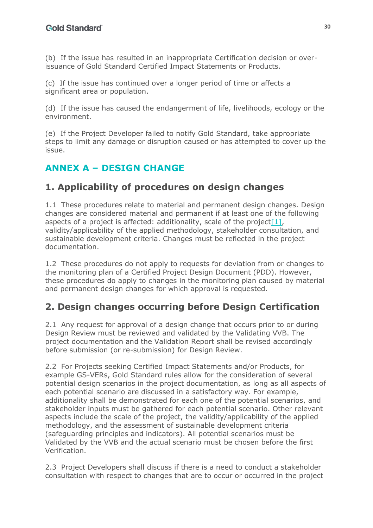(b) If the issue has resulted in an inappropriate Certification decision or overissuance of Gold Standard Certified Impact Statements or Products.

(c) If the issue has continued over a longer period of time or affects a significant area or population.

(d) If the issue has caused the endangerment of life, livelihoods, ecology or the environment.

(e) If the Project Developer failed to notify Gold Standard, take appropriate steps to limit any damage or disruption caused or has attempted to cover up the issue.

# <span id="page-29-0"></span>**ANNEX A – DESIGN CHANGE**

## **1. Applicability of procedures on design changes**

1.1 These procedures relate to material and permanent design changes. Design changes are considered material and permanent if at least one of the following aspects of a project is affected: additionality, scale of the project  $[1]$ , validity/applicability of the applied methodology, stakeholder consultation, and sustainable development criteria. Changes must be reflected in the project documentation.

1.2 These procedures do not apply to requests for deviation from or changes to the monitoring plan of a Certified Project Design Document (PDD). However, these procedures do apply to changes in the monitoring plan caused by material and permanent design changes for which approval is requested.

## **2. Design changes occurring before Design Certification**

2.1 Any request for approval of a design change that occurs prior to or during Design Review must be reviewed and validated by the Validating VVB. The project documentation and the Validation Report shall be revised accordingly before submission (or re-submission) for Design Review.

2.2 For Projects seeking Certified Impact Statements and/or Products, for example GS-VERs, Gold Standard rules allow for the consideration of several potential design scenarios in the project documentation, as long as all aspects of each potential scenario are discussed in a satisfactory way. For example, additionality shall be demonstrated for each one of the potential scenarios, and stakeholder inputs must be gathered for each potential scenario. Other relevant aspects include the scale of the project, the validity/applicability of the applied methodology, and the assessment of sustainable development criteria (safeguarding principles and indicators). All potential scenarios must be Validated by the VVB and the actual scenario must be chosen before the first Verification.

2.3 Project Developers shall discuss if there is a need to conduct a stakeholder consultation with respect to changes that are to occur or occurred in the project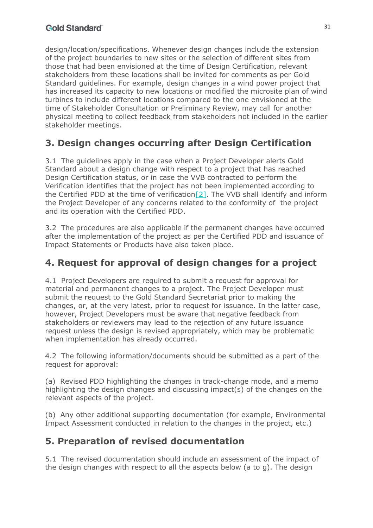design/location/specifications. Whenever design changes include the extension of the project boundaries to new sites or the selection of different sites from those that had been envisioned at the time of Design Certification, relevant stakeholders from these locations shall be invited for comments as per Gold Standard guidelines. For example, design changes in a wind power project that has increased its capacity to new locations or modified the microsite plan of wind turbines to include different locations compared to the one envisioned at the time of Stakeholder Consultation or Preliminary Review, may call for another physical meeting to collect feedback from stakeholders not included in the earlier stakeholder meetings.

# **3. Design changes occurring after Design Certification**

3.1 The guidelines apply in the case when a Project Developer alerts Gold Standard about a design change with respect to a project that has reached Design Certification status, or in case the VVB contracted to perform the Verification identifies that the project has not been implemented according to the Certified PDD at the time of verification $[2]$ . The VVB shall identify and inform the Project Developer of any concerns related to the conformity of the project and its operation with the Certified PDD.

3.2 The procedures are also applicable if the permanent changes have occurred after the implementation of the project as per the Certified PDD and issuance of Impact Statements or Products have also taken place.

# **4. Request for approval of design changes for a project**

4.1 Project Developers are required to submit a request for approval for material and permanent changes to a project. The Project Developer must submit the request to the Gold Standard Secretariat prior to making the changes, or, at the very latest, prior to request for issuance. In the latter case, however, Project Developers must be aware that negative feedback from stakeholders or reviewers may lead to the rejection of any future issuance request unless the design is revised appropriately, which may be problematic when implementation has already occurred.

4.2 The following information/documents should be submitted as a part of the request for approval:

(a) Revised PDD highlighting the changes in track-change mode, and a memo highlighting the design changes and discussing impact(s) of the changes on the relevant aspects of the project.

(b) Any other additional supporting documentation (for example, Environmental Impact Assessment conducted in relation to the changes in the project, etc.)

## **5. Preparation of revised documentation**

5.1 The revised documentation should include an assessment of the impact of the design changes with respect to all the aspects below (a to g). The design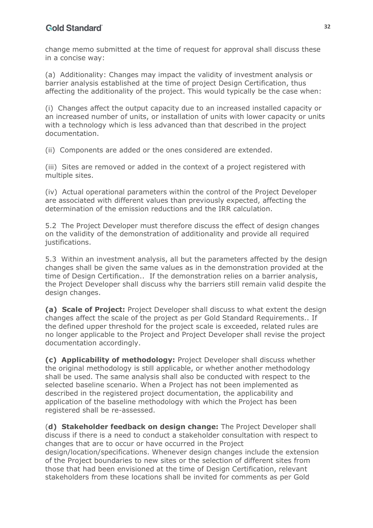change memo submitted at the time of request for approval shall discuss these in a concise way:

(a) Additionality: Changes may impact the validity of investment analysis or barrier analysis established at the time of project Design Certification, thus affecting the additionality of the project. This would typically be the case when:

(i) Changes affect the output capacity due to an increased installed capacity or an increased number of units, or installation of units with lower capacity or units with a technology which is less advanced than that described in the project documentation.

(ii) Components are added or the ones considered are extended.

(iii) Sites are removed or added in the context of a project registered with multiple sites.

(iv) Actual operational parameters within the control of the Project Developer are associated with different values than previously expected, affecting the determination of the emission reductions and the IRR calculation.

5.2 The Project Developer must therefore discuss the effect of design changes on the validity of the demonstration of additionality and provide all required justifications.

5.3 Within an investment analysis, all but the parameters affected by the design changes shall be given the same values as in the demonstration provided at the time of Design Certification.. If the demonstration relies on a barrier analysis, the Project Developer shall discuss why the barriers still remain valid despite the design changes.

**(a) Scale of Project:** Project Developer shall discuss to what extent the design changes affect the scale of the project as per Gold Standard Requirements.. If the defined upper threshold for the project scale is exceeded, related rules are no longer applicable to the Project and Project Developer shall revise the project documentation accordingly.

**(c) Applicability of methodology:** Project Developer shall discuss whether the original methodology is still applicable, or whether another methodology shall be used. The same analysis shall also be conducted with respect to the selected baseline scenario. When a Project has not been implemented as described in the registered project documentation, the applicability and application of the baseline methodology with which the Project has been registered shall be re-assessed.

(**d) Stakeholder feedback on design change:** The Project Developer shall discuss if there is a need to conduct a stakeholder consultation with respect to changes that are to occur or have occurred in the Project design/location/specifications. Whenever design changes include the extension of the Project boundaries to new sites or the selection of different sites from those that had been envisioned at the time of Design Certification, relevant stakeholders from these locations shall be invited for comments as per Gold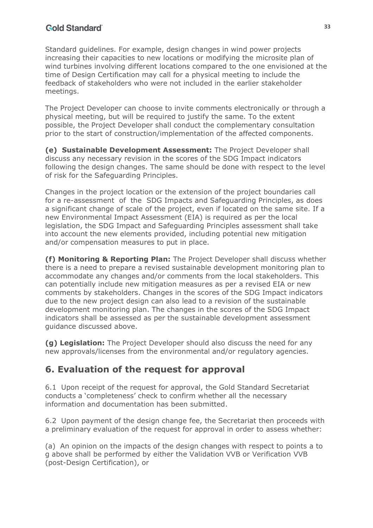Standard guidelines. For example, design changes in wind power projects increasing their capacities to new locations or modifying the microsite plan of wind turbines involving different locations compared to the one envisioned at the time of Design Certification may call for a physical meeting to include the feedback of stakeholders who were not included in the earlier stakeholder meetings.

The Project Developer can choose to invite comments electronically or through a physical meeting, but will be required to justify the same. To the extent possible, the Project Developer shall conduct the complementary consultation prior to the start of construction/implementation of the affected components.

**(e) Sustainable Development Assessment:** The Project Developer shall discuss any necessary revision in the scores of the SDG Impact indicators following the design changes. The same should be done with respect to the level of risk for the Safeguarding Principles.

Changes in the project location or the extension of the project boundaries call for a re-assessment of the SDG Impacts and Safeguarding Principles, as does a significant change of scale of the project, even if located on the same site. If a new Environmental Impact Assessment (EIA) is required as per the local legislation, the SDG Impact and Safeguarding Principles assessment shall take into account the new elements provided, including potential new mitigation and/or compensation measures to put in place.

**(f) Monitoring & Reporting Plan:** The Project Developer shall discuss whether there is a need to prepare a revised sustainable development monitoring plan to accommodate any changes and/or comments from the local stakeholders. This can potentially include new mitigation measures as per a revised EIA or new comments by stakeholders. Changes in the scores of the SDG Impact indicators due to the new project design can also lead to a revision of the sustainable development monitoring plan. The changes in the scores of the SDG Impact indicators shall be assessed as per the sustainable development assessment guidance discussed above.

**(g) Legislation:** The Project Developer should also discuss the need for any new approvals/licenses from the environmental and/or regulatory agencies.

## **6. Evaluation of the request for approval**

6.1 Upon receipt of the request for approval, the Gold Standard Secretariat conducts a 'completeness' check to confirm whether all the necessary information and documentation has been submitted.

6.2 Upon payment of the design change fee, the Secretariat then proceeds with a preliminary evaluation of the request for approval in order to assess whether:

(a) An opinion on the impacts of the design changes with respect to points a to g above shall be performed by either the Validation VVB or Verification VVB (post-Design Certification), or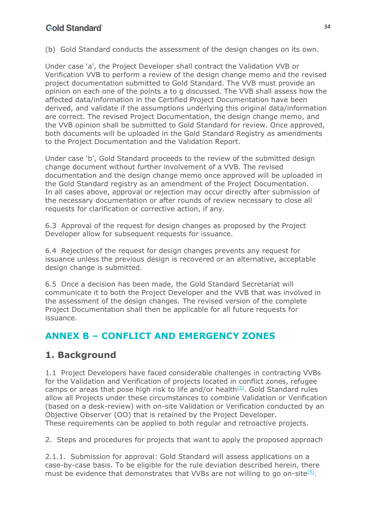(b) Gold Standard conducts the assessment of the design changes on its own.

Under case 'a', the Project Developer shall contract the Validation VVB or Verification VVB to perform a review of the design change memo and the revised project documentation submitted to Gold Standard. The VVB must provide an opinion on each one of the points a to g discussed. The VVB shall assess how the affected data/information in the Certified Project Documentation have been derived, and validate if the assumptions underlying this original data/information are correct. The revised Project Documentation, the design change memo, and the VVB opinion shall be submitted to Gold Standard for review. Once approved, both documents will be uploaded in the Gold Standard Registry as amendments to the Project Documentation and the Validation Report.

Under case 'b', Gold Standard proceeds to the review of the submitted design change document without further involvement of a VVB. The revised documentation and the design change memo once approved will be uploaded in the Gold Standard registry as an amendment of the Project Documentation. In all cases above, approval or rejection may occur directly after submission of the necessary documentation or after rounds of review necessary to close all requests for clarification or corrective action, if any.

6.3 Approval of the request for design changes as proposed by the Project Developer allow for subsequent requests for issuance.

6.4 Rejection of the request for design changes prevents any request for issuance unless the previous design is recovered or an alternative, acceptable design change is submitted.

6.5 Once a decision has been made, the Gold Standard Secretariat will communicate it to both the Project Developer and the VVB that was involved in the assessment of the design changes. The revised version of the complete Project Documentation shall then be applicable for all future requests for issuance.

## <span id="page-33-0"></span>**ANNEX B – CONFLICT AND EMERGENCY ZONES**

## **1. Background**

1.1 Project Developers have faced considerable challenges in contracting VVBs for the Validation and Verification of projects located in conflict zones, refugee camps or areas that pose high risk to life and/or health $[3]$ . Gold Standard rules allow all Projects under these circumstances to combine Validation or Verification (based on a desk-review) with on-site Validation or Verification conducted by an Objective Observer (OO) that is retained by the Project Developer. These requirements can be applied to both regular and retroactive projects.

2. Steps and procedures for projects that want to apply the proposed approach

2.1.1. Submission for approval: Gold Standard will assess applications on a case-by-case basis. To be eligible for the rule deviation described herein, there must be evidence that demonstrates that VVBs are not willing to go on-site<sup>[4]</sup>.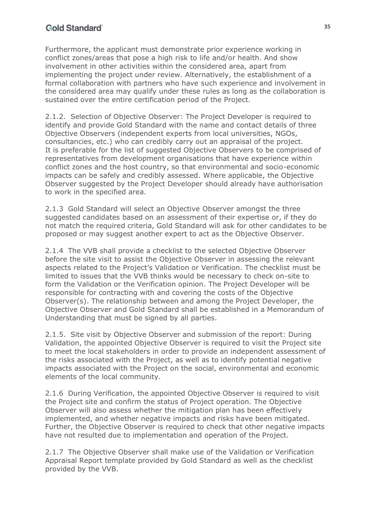Furthermore, the applicant must demonstrate prior experience working in conflict zones/areas that pose a high risk to life and/or health. And show involvement in other activities within the considered area, apart from implementing the project under review. Alternatively, the establishment of a formal collaboration with partners who have such experience and involvement in the considered area may qualify under these rules as long as the collaboration is sustained over the entire certification period of the Project.

2.1.2. Selection of Objective Observer: The Project Developer is required to identify and provide Gold Standard with the name and contact details of three Objective Observers (independent experts from local universities, NGOs, consultancies, etc.) who can credibly carry out an appraisal of the project. It is preferable for the list of suggested Objective Observers to be comprised of representatives from development organisations that have experience within conflict zones and the host country, so that environmental and socio-economic impacts can be safely and credibly assessed. Where applicable, the Objective Observer suggested by the Project Developer should already have authorisation to work in the specified area.

2.1.3 Gold Standard will select an Objective Observer amongst the three suggested candidates based on an assessment of their expertise or, if they do not match the required criteria, Gold Standard will ask for other candidates to be proposed or may suggest another expert to act as the Objective Observer.

2.1.4 The VVB shall provide a checklist to the selected Objective Observer before the site visit to assist the Objective Observer in assessing the relevant aspects related to the Project's Validation or Verification. The checklist must be limited to issues that the VVB thinks would be necessary to check on-site to form the Validation or the Verification opinion. The Project Developer will be responsible for contracting with and covering the costs of the Objective Observer(s). The relationship between and among the Project Developer, the Objective Observer and Gold Standard shall be established in a Memorandum of Understanding that must be signed by all parties.

2.1.5. Site visit by Objective Observer and submission of the report: During Validation, the appointed Objective Observer is required to visit the Project site to meet the local stakeholders in order to provide an independent assessment of the risks associated with the Project, as well as to identify potential negative impacts associated with the Project on the social, environmental and economic elements of the local community.

2.1.6 During Verification, the appointed Objective Observer is required to visit the Project site and confirm the status of Project operation. The Objective Observer will also assess whether the mitigation plan has been effectively implemented, and whether negative impacts and risks have been mitigated. Further, the Objective Observer is required to check that other negative impacts have not resulted due to implementation and operation of the Project.

2.1.7 The Objective Observer shall make use of the Validation or Verification Appraisal Report template provided by Gold Standard as well as the checklist provided by the VVB.